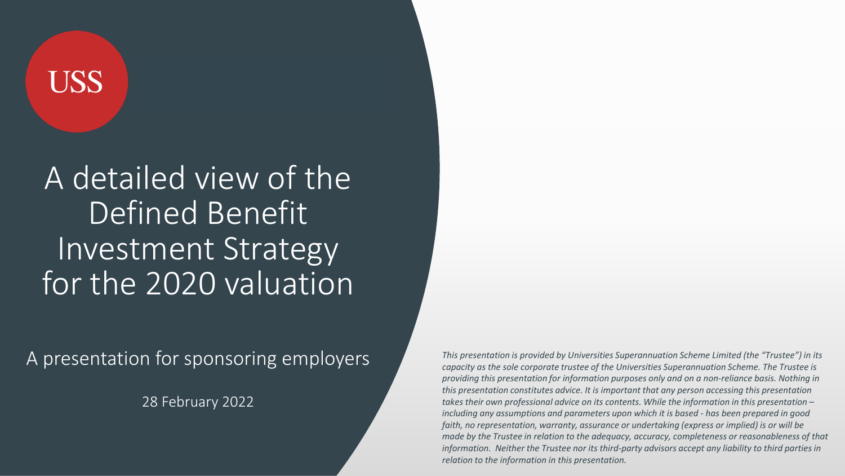## **USS**

A detailed view of the Defined Benefit Investment Strategy for the 2020 valuation

A presentation for sponsoring employers

28 February 2022

*This presentation is provided by Universities Superannuation Scheme Limited (the "Trustee") in its capacity as the sole corporate trustee of the Universities Superannuation Scheme. The Trustee is providing this presentation for information purposes only and on a non-reliance basis. Nothing in this presentation constitutes advice. It is important that any person accessing this presentation takes their own professional advice on its contents. While the information in this presentation – including any assumptions and parameters upon which it is based - has been prepared in good faith, no representation, warranty, assurance or undertaking (express or implied) is or will be made by the Trustee in relation to the adequacy, accuracy, completeness or reasonableness of that information. Neither the Trustee nor its third-party advisors accept any liability to third parties in relation to the information in this presentation.*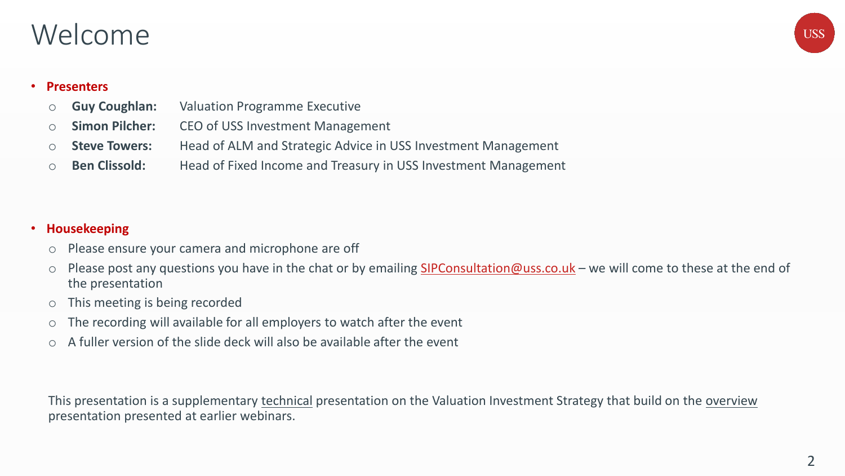### Welcome



#### • **Presenters**

- o **Guy Coughlan:** Valuation Programme Executive
- o **Simon Pilcher:** CEO of USS Investment Management
- o **Steve Towers:** Head of ALM and Strategic Advice in USS Investment Management
- o **Ben Clissold:** Head of Fixed Income and Treasury in USS Investment Management

#### • **Housekeeping**

- o Please ensure your camera and microphone are off
- o Please post any questions you have in the chat or by emailing [SIPConsultation@uss.co.uk](mailto:SIPConsultation@uss.co.uk) we will come to these at the end of the presentation
- o This meeting is being recorded
- o The recording will available for all employers to watch after the event
- $\circ$  A fuller version of the slide deck will also be available after the event

This presentation is a supplementary technical presentation on the Valuation Investment Strategy that build on the overview presentation presented at earlier webinars.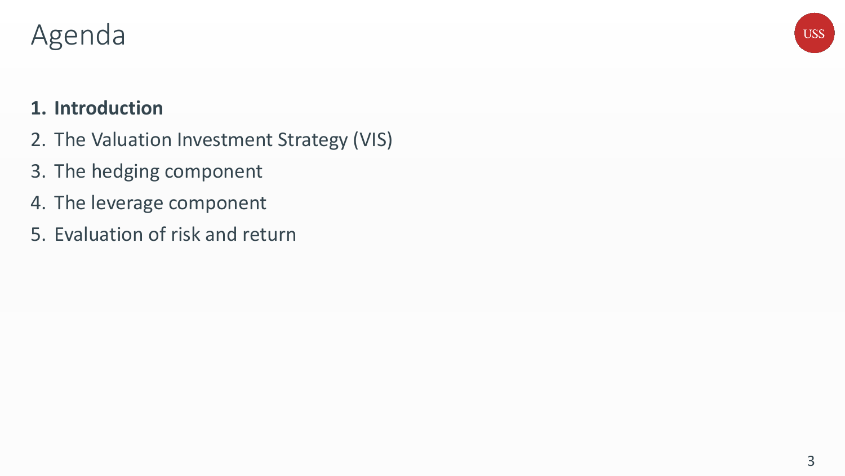### Agenda

### **1. Introduction**

- 2. The Valuation Investment Strategy (VIS)
- 3. The hedging component
- 4. The leverage component
- 5. Evaluation of risk and return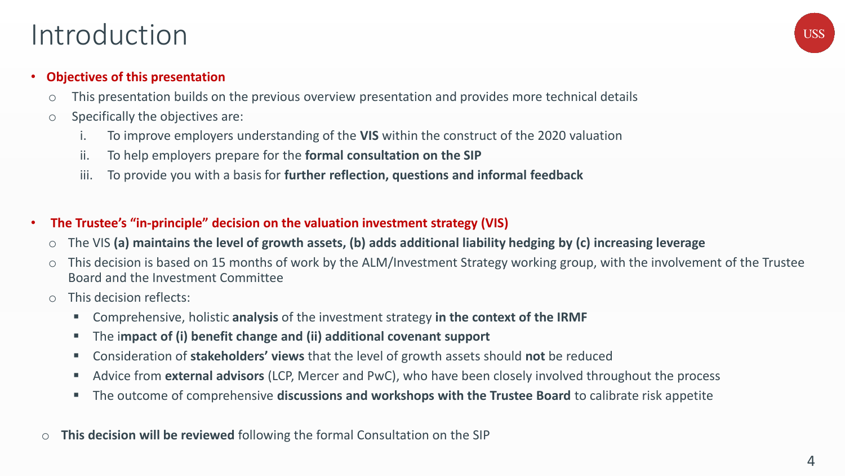### Introduction



#### • **Objectives of this presentation**

- o This presentation builds on the previous overview presentation and provides more technical details
- $\circ$  Specifically the objectives are:
	- To improve employers understanding of the VIS within the construct of the 2020 valuation
	- ii. To help employers prepare for the **formal consultation on the SIP**
	- iii. To provide you with a basis for **further reflection, questions and informal feedback**
- **The Trustee's "in-principle" decision on the valuation investment strategy (VIS)**
	- o The VIS **(a) maintains the level of growth assets, (b) adds additional liability hedging by (c) increasing leverage**
	- o This decision is based on 15 months of work by the ALM/Investment Strategy working group, with the involvement of the Trustee Board and the Investment Committee
	- o This decision reflects:
		- Comprehensive, holistic **analysis** of the investment strategy in the context of the IRMF
		- The i**mpact of (i) benefit change and (ii) additional covenant support**
		- Consideration of **stakeholders' views** that the level of growth assets should **not** be reduced
		- Advice from **external advisors** (LCP, Mercer and PwC), who have been closely involved throughout the process
		- The outcome of comprehensive **discussions and workshops with the Trustee Board** to calibrate risk appetite
- o **This decision will be reviewed** following the formal Consultation on the SIP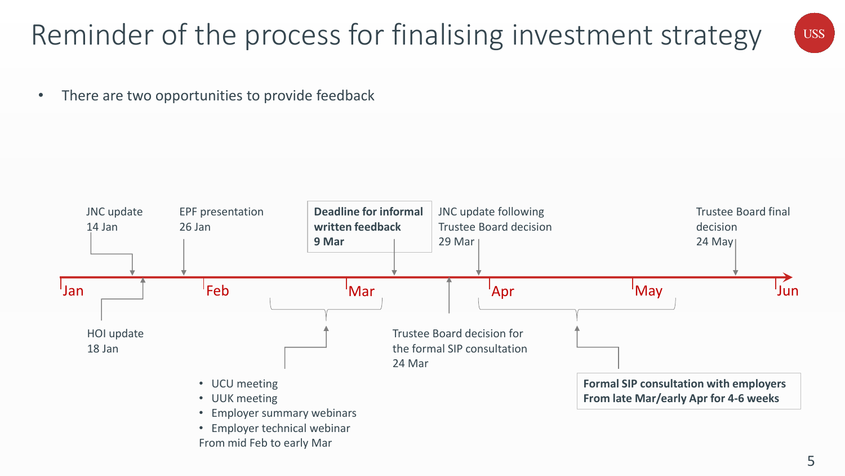## Reminder of the process for finalising investment strategy

**USS** 

• There are two opportunities to provide feedback

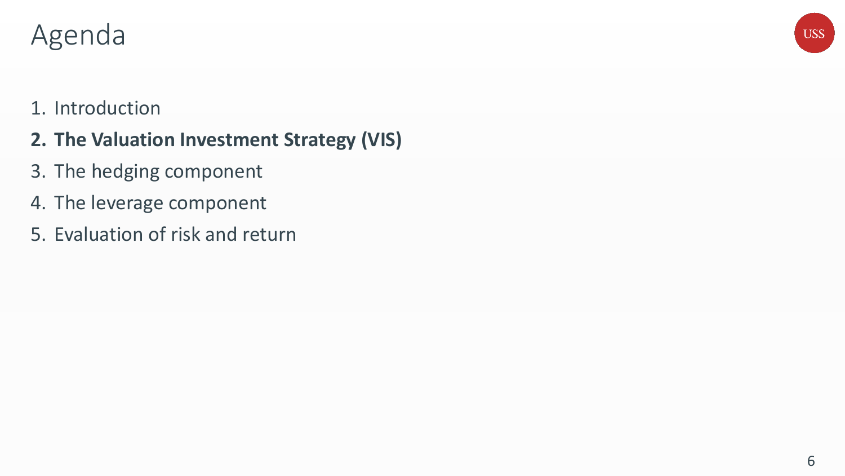### Agenda

## **USS**

### 1. Introduction

### **2. The Valuation Investment Strategy (VIS)**

- 3. The hedging component
- 4. The leverage component
- 5. Evaluation of risk and return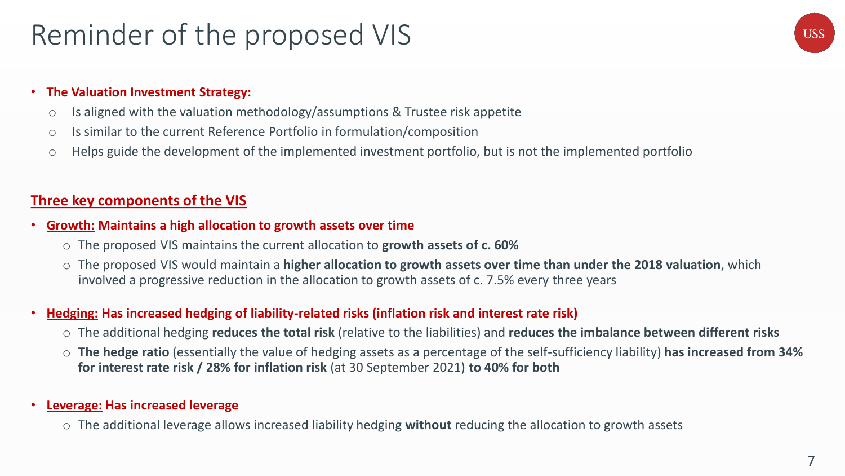### Reminder of the proposed VIS

## **USS**

#### • **The Valuation Investment Strategy:**

- o Is aligned with the valuation methodology/assumptions & Trustee risk appetite
- o Is similar to the current Reference Portfolio in formulation/composition
- o Helps guide the development of the implemented investment portfolio, but is not the implemented portfolio

### **Three key components of the VIS**

#### • **Growth: Maintains a high allocation to growth assets over time**

- o The proposed VIS maintains the current allocation to **growth assets of c. 60%**
- o The proposed VIS would maintain a **higher allocation to growth assets over time than under the 2018 valuation**, which involved a progressive reduction in the allocation to growth assets of c. 7.5% every three years

#### • **Hedging: Has increased hedging of liability-related risks (inflation risk and interest rate risk)**

- o The additional hedging **reduces the total risk** (relative to the liabilities) and **reduces the imbalance between different risks**
- o **The hedge ratio** (essentially the value of hedging assets as a percentage of the self-sufficiency liability) **has increased from 34% for interest rate risk / 28% for inflation risk** (at 30 September 2021) **to 40% for both**

#### • **Leverage: Has increased leverage**

o The additional leverage allows increased liability hedging **without** reducing the allocation to growth assets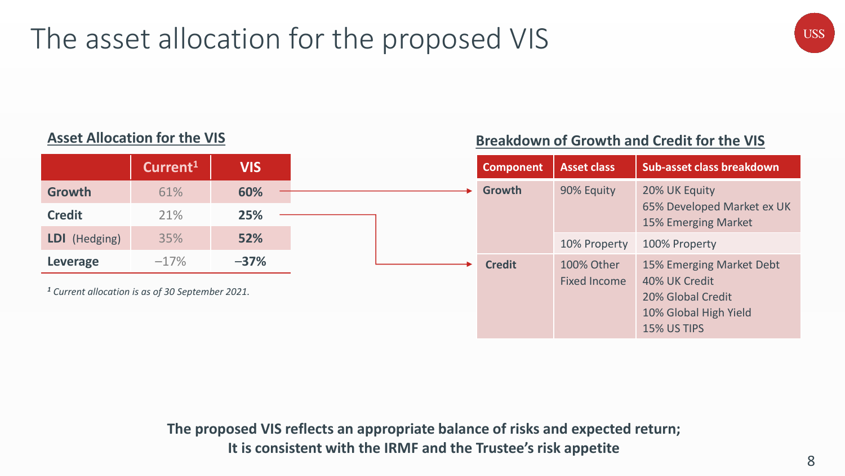## The asset allocation for the proposed VIS

### **Asset Allocation for the VIS Breakdown of Growth and Credit for the VIS**

|                                                             | Current <sup>1</sup> | <b>VIS</b> | <b>Component</b> | <b>Asset class</b>                |
|-------------------------------------------------------------|----------------------|------------|------------------|-----------------------------------|
| Growth                                                      | 61%                  | 60%        | Growth           | 90% Equity                        |
| <b>Credit</b>                                               | 21%                  | 25%        |                  |                                   |
| LDI (Hedging)                                               | 35%                  | 52%        |                  | 10% Property                      |
| Leverage                                                    | $-17%$               | $-37%$     | <b>Credit</b>    | 100% Other<br><b>Fixed Income</b> |
| <sup>1</sup> Current allocation is as of 30 September 2021. |                      |            |                  |                                   |
|                                                             |                      |            |                  |                                   |

**The proposed VIS reflects an appropriate balance of risks and expected return; It is consistent with the IRMF and the Trustee's risk appetite**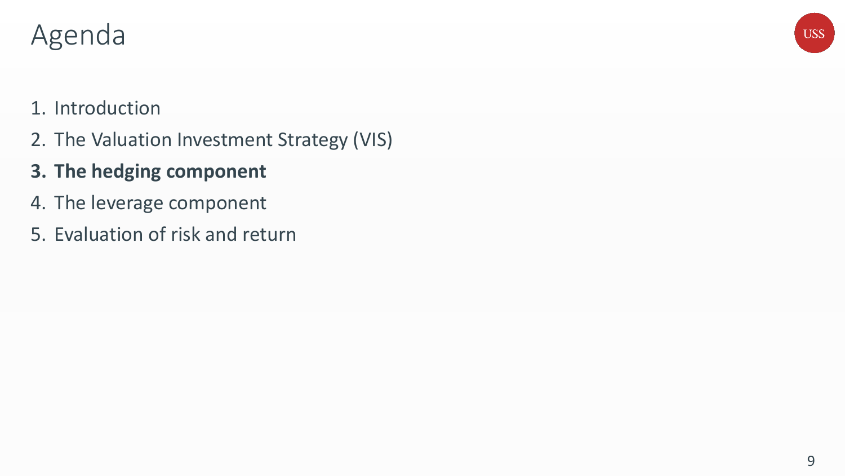### Agenda

## **USS**

### 1. Introduction

2. The Valuation Investment Strategy (VIS)

### **3. The hedging component**

- 4. The leverage component
- 5. Evaluation of risk and return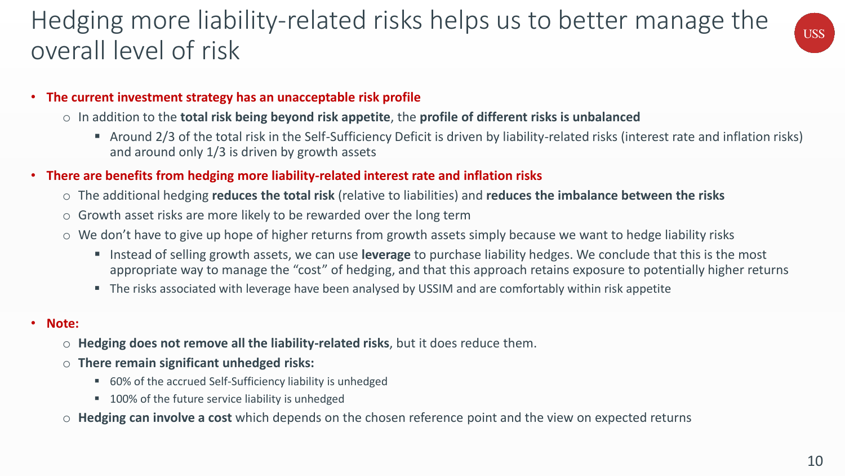### Hedging more liability-related risks helps us to better manage the overall level of risk



#### • **The current investment strategy has an unacceptable risk profile**

- o In addition to the **total risk being beyond risk appetite**, the **profile of different risks is unbalanced**
	- Around 2/3 of the total risk in the Self-Sufficiency Deficit is driven by liability-related risks (interest rate and inflation risks) and around only 1/3 is driven by growth assets
- **There are benefits from hedging more liability-related interest rate and inflation risks**
	- o The additional hedging **reduces the total risk** (relative to liabilities) and **reduces the imbalance between the risks**
	- $\circ$  Growth asset risks are more likely to be rewarded over the long term
	- o We don't have to give up hope of higher returns from growth assets simply because we want to hedge liability risks
		- Instead of selling growth assets, we can use **leverage** to purchase liability hedges. We conclude that this is the most appropriate way to manage the "cost" of hedging, and that this approach retains exposure to potentially higher returns
		- The risks associated with leverage have been analysed by USSIM and are comfortably within risk appetite
- **Note:**
	- o **Hedging does not remove all the liability-related risks**, but it does reduce them.
	- o **There remain significant unhedged risks:**
		- 60% of the accrued Self-Sufficiency liability is unhedged
		- 100% of the future service liability is unhedged
	- o **Hedging can involve a cost** which depends on the chosen reference point and the view on expected returns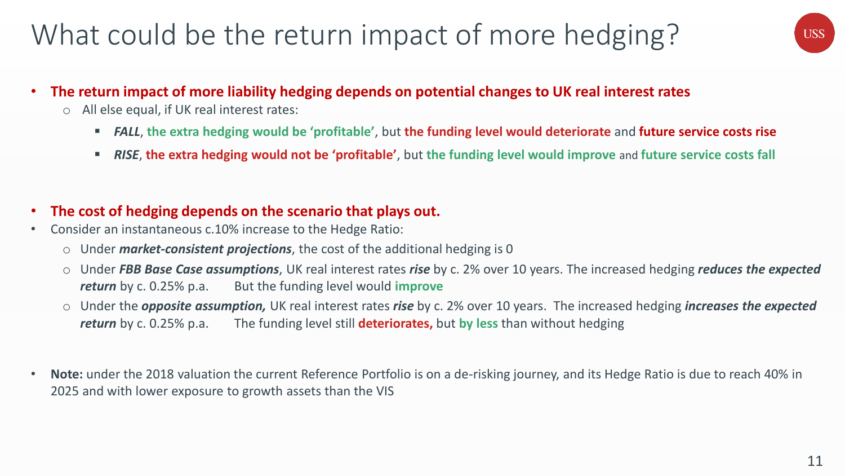## What could be the return impact of more hedging?



- **The return impact of more liability hedging depends on potential changes to UK real interest rates**
	- o All else equal, if UK real interest rates:
		- *FALL*, **the extra hedging would be 'profitable'**, but **the funding level would deteriorate** and **future service costs rise**
		- *RISE*, **the extra hedging would not be 'profitable'**, but **the funding level would improve** and **future service costs fall**

### • **The cost of hedging depends on the scenario that plays out.**

- Consider an instantaneous c.10% increase to the Hedge Ratio:
	- o Under *market-consistent projections*, the cost of the additional hedging is 0
	- o Under *FBB Base Case assumptions*, UK real interest rates *rise* by c. 2% over 10 years. The increased hedging *reduces the expected return* by c. 0.25% p.a. But the funding level would **improve**
	- o Under the *opposite assumption,* UK real interest rates *rise* by c. 2% over 10 years. The increased hedging *increases the expected return* by c. 0.25% p.a. The funding level still **deteriorates,** but **by less** than without hedging
- **Note:** under the 2018 valuation the current Reference Portfolio is on a de-risking journey, and its Hedge Ratio is due to reach 40% in 2025 and with lower exposure to growth assets than the VIS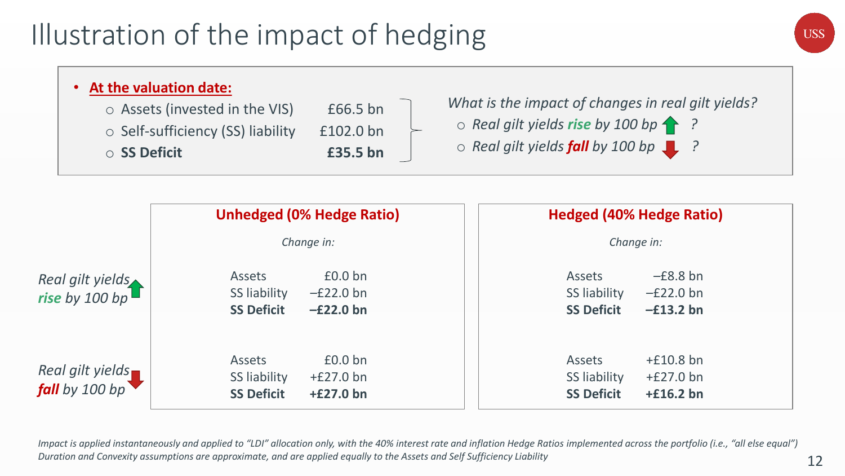## Illustration of the impact of hedging



#### • **At the valuation date:**  $\circ$  Assets (invested in the VIS)  $\qquad$  £66.5 bn o Self-sufficiency (SS) liability £102.0 bn o **SS Deficit £35.5 bn** *What is the impact of changes in real gilt yields?* o *Real gilt yields rise by 100 bp ?* o *Real gilt yields fall by 100 bp ?*

|                                           | <b>Unhedged (0% Hedge Ratio)</b>                                                                        | <b>Hedged (40% Hedge Ratio)</b>                                                          |
|-------------------------------------------|---------------------------------------------------------------------------------------------------------|------------------------------------------------------------------------------------------|
|                                           | Change in:                                                                                              | Change in:                                                                               |
| Real gilt yields<br>rise by 100 bp        | £0.0 b <sub>n</sub><br><b>Assets</b><br>SS liability<br>$-E22.0$ bn<br><b>SS Deficit</b><br>$-E22.0$ bn | $-E8.8$ bn<br>Assets<br>SS liability<br>$-E22.0$ bn<br><b>SS Deficit</b><br>$-f13.2$ bn  |
| Real gilt yields<br><b>fall</b> by 100 bp | £0.0 b <sub>n</sub><br><b>Assets</b><br>SS liability<br>$+£27.0$ bn<br><b>SS Deficit</b><br>$+£27.0$ bn | $+£10.8$ bn<br>Assets<br>SS liability<br>$+E27.0$ bn<br><b>SS Deficit</b><br>$+£16.2$ bn |

*Impact is applied instantaneously and applied to "LDI" allocation only, with the 40% interest rate and inflation Hedge Ratios implemented across the portfolio (i.e., "all else equal") Duration and Convexity assumptions are approximate, and are applied equally to the Assets and Self Sufficiency Liability*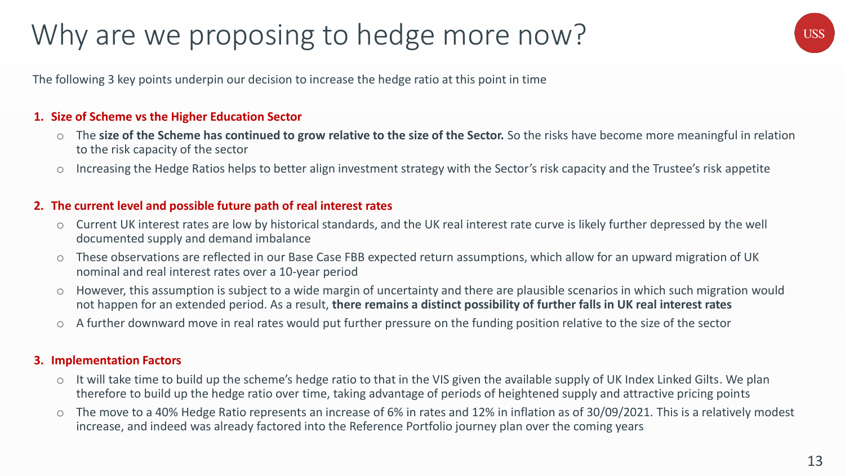## Why are we proposing to hedge more now?

**USS** 

The following 3 key points underpin our decision to increase the hedge ratio at this point in time

#### **1. Size of Scheme vs the Higher Education Sector**

- o The **size of the Scheme has continued to grow relative to the size of the Sector.** So the risks have become more meaningful in relation to the risk capacity of the sector
- Increasing the Hedge Ratios helps to better align investment strategy with the Sector's risk capacity and the Trustee's risk appetite

#### **2. The current level and possible future path of real interest rates**

- o Current UK interest rates are low by historical standards, and the UK real interest rate curve is likely further depressed by the well documented supply and demand imbalance
- These observations are reflected in our Base Case FBB expected return assumptions, which allow for an upward migration of UK nominal and real interest rates over a 10-year period
- o However, this assumption is subject to a wide margin of uncertainty and there are plausible scenarios in which such migration would not happen for an extended period. As a result, **there remains a distinct possibility of further falls in UK real interest rates**
- o A further downward move in real rates would put further pressure on the funding position relative to the size of the sector

#### **3. Implementation Factors**

- o It will take time to build up the scheme's hedge ratio to that in the VIS given the available supply of UK Index Linked Gilts. We plan therefore to build up the hedge ratio over time, taking advantage of periods of heightened supply and attractive pricing points
- o The move to a 40% Hedge Ratio represents an increase of 6% in rates and 12% in inflation as of 30/09/2021. This is a relatively modest increase, and indeed was already factored into the Reference Portfolio journey plan over the coming years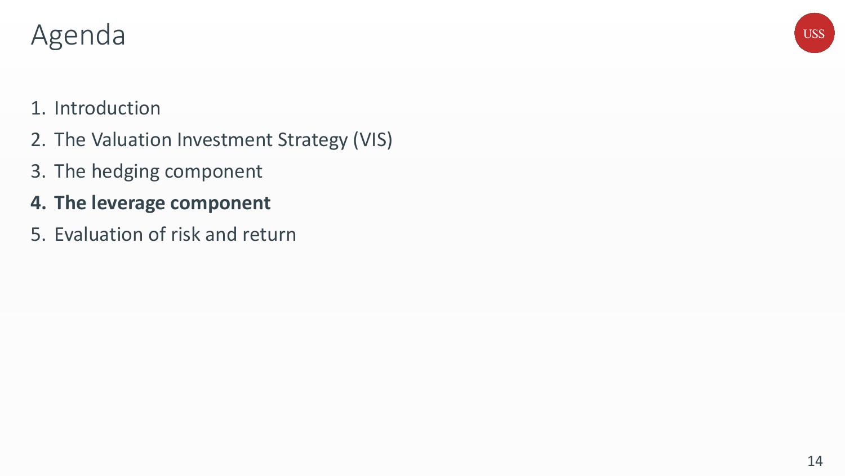### Agenda

## **USS**

### 1. Introduction

- 2. The Valuation Investment Strategy (VIS)
- 3. The hedging component
- **4. The leverage component**
- 5. Evaluation of risk and return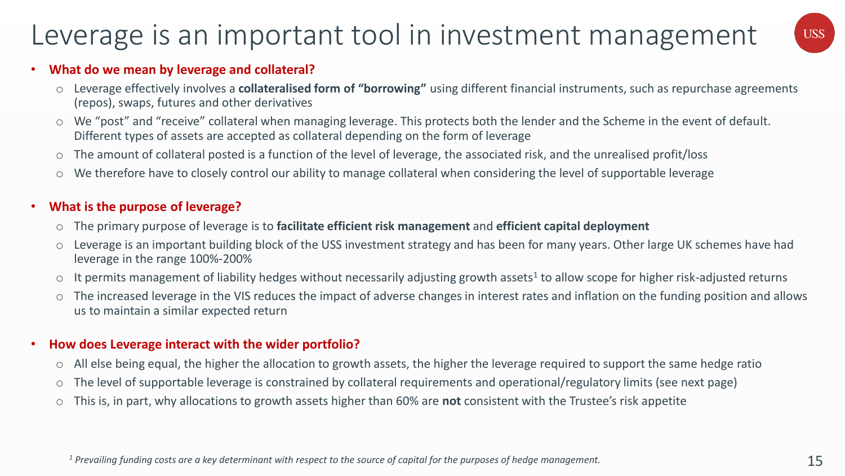### Leverage is an important tool in investment management



#### • **What do we mean by leverage and collateral?**

- o Leverage effectively involves a **collateralised form of "borrowing"** using different financial instruments, such as repurchase agreements (repos), swaps, futures and other derivatives
- o We "post" and "receive" collateral when managing leverage. This protects both the lender and the Scheme in the event of default. Different types of assets are accepted as collateral depending on the form of leverage
- o The amount of collateral posted is a function of the level of leverage, the associated risk, and the unrealised profit/loss
- o We therefore have to closely control our ability to manage collateral when considering the level of supportable leverage

#### • **What is the purpose of leverage?**

- o The primary purpose of leverage is to **facilitate efficient risk management** and **efficient capital deployment**
- o Leverage is an important building block of the USS investment strategy and has been for many years. Other large UK schemes have had leverage in the range 100%-200%
- $\circ$  It permits management of liability hedges without necessarily adjusting growth assets<sup>1</sup> to allow scope for higher risk-adjusted returns
- o The increased leverage in the VIS reduces the impact of adverse changes in interest rates and inflation on the funding position and allows us to maintain a similar expected return

#### • **How does Leverage interact with the wider portfolio?**

- o All else being equal, the higher the allocation to growth assets, the higher the leverage required to support the same hedge ratio
- o The level of supportable leverage is constrained by collateral requirements and operational/regulatory limits (see next page)
- o This is, in part, why allocations to growth assets higher than 60% are **not** consistent with the Trustee's risk appetite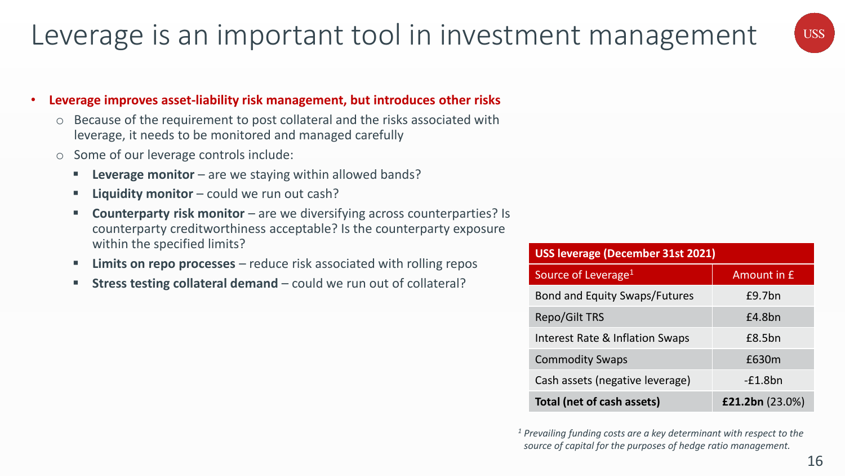### Leverage is an important tool in investment management



#### • **Leverage improves asset-liability risk management, but introduces other risks**

- Because of the requirement to post collateral and the risks associated with leverage, it needs to be monitored and managed carefully
- o Some of our leverage controls include:
	- **Leverage monitor** are we staying within allowed bands?
	- **E** Liquidity monitor could we run out cash?
	- **Counterparty risk monitor** are we diversifying across counterparties? Is counterparty creditworthiness acceptable? Is the counterparty exposure within the specified limits?
	- **EXTERN 12 Limits on repo processes** reduce risk associated with rolling repos
	- **EXTERS FEET IN STRESS TESTING COLLET IS COLLETED FOR THE STRESS TESTION IS STRESS FEET ISON COLLETA**

| <b>USS leverage (December 31st 2021)</b>         |                    |  |  |  |  |  |
|--------------------------------------------------|--------------------|--|--|--|--|--|
| Source of Leverage <sup>1</sup>                  | <b>Amount in £</b> |  |  |  |  |  |
| <b>Bond and Equity Swaps/Futures</b>             | £9.7bn             |  |  |  |  |  |
| <b>Repo/Gilt TRS</b>                             | £4.8bn             |  |  |  |  |  |
| Interest Rate & Inflation Swaps                  | £8.5bn             |  |  |  |  |  |
| <b>Commodity Swaps</b>                           | £630m              |  |  |  |  |  |
| Cash assets (negative leverage)                  | $-E1.8bn$          |  |  |  |  |  |
| Total (net of cash assets)<br>£21.2bn $(23.0\%)$ |                    |  |  |  |  |  |

*<sup>1</sup> Prevailing funding costs are a key determinant with respect to the source of capital for the purposes of hedge ratio management.*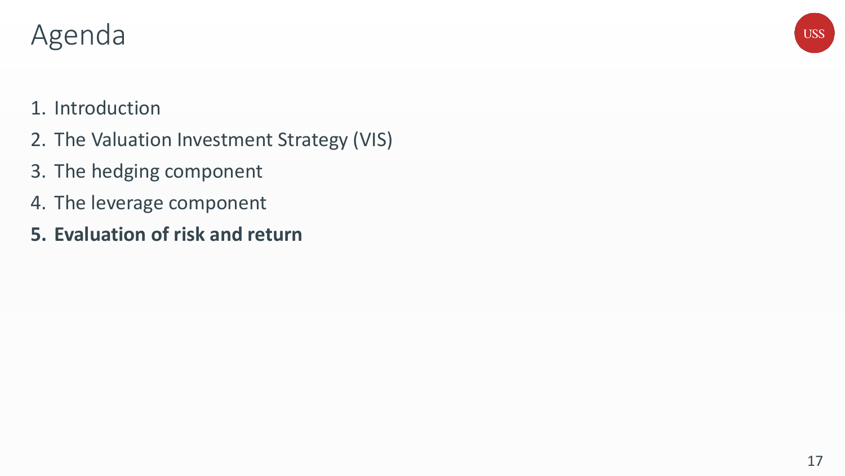### Agenda

## **USS**

### 1. Introduction

- 2. The Valuation Investment Strategy (VIS)
- 3. The hedging component
- 4. The leverage component
- **5. Evaluation of risk and return**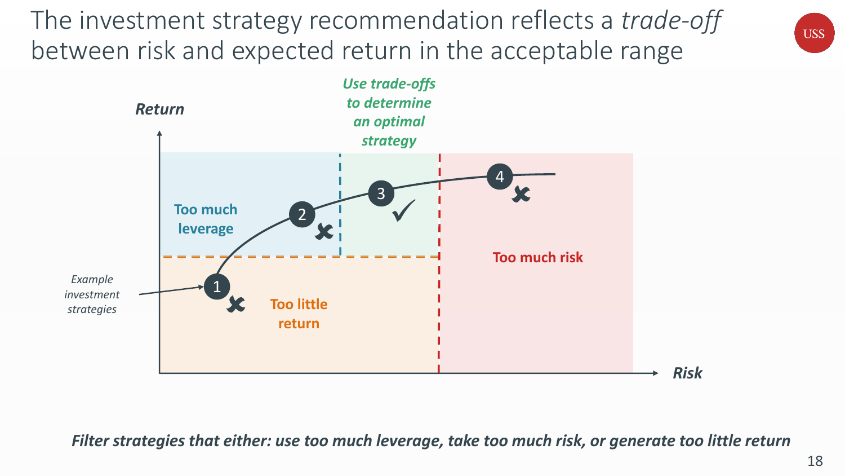The investment strategy recommendation reflects a *trade-off* between risk and expected return in the acceptable range



*Filter strategies that either: use too much leverage, take too much risk, or generate too little return*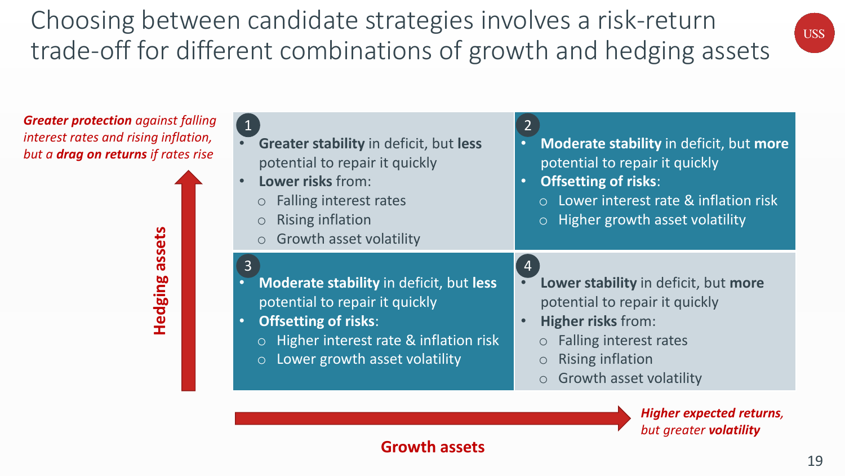Choosing between candidate strategies involves a risk-return trade-off for different combinations of growth and hedging assets



*Greater protection against falling interest rates and rising inflation, but a drag on returns if rates rise*

> **Hedging assets** assets Hedging

| Greater stability in deficit, but less<br>potential to repair it quickly<br>Lower risks from:<br>$\bullet$<br><b>Falling interest rates</b><br><b>Rising inflation</b><br>$\circ$<br><b>Growth asset volatility</b><br>$\circ$                                     | Moderate stability in deficit, but more<br>potential to repair it quickly<br><b>Offsetting of risks:</b><br>$\bullet$<br>○ Lower interest rate & inflation risk<br>$\circ$ Higher growth asset volatility                                  |
|--------------------------------------------------------------------------------------------------------------------------------------------------------------------------------------------------------------------------------------------------------------------|--------------------------------------------------------------------------------------------------------------------------------------------------------------------------------------------------------------------------------------------|
| $\overline{3}$<br><b>Moderate stability in deficit, but less</b><br>$\bullet$<br>potential to repair it quickly<br><b>Offsetting of risks:</b><br>$\bullet$<br>Higher interest rate & inflation risk<br>$\circ$<br>Lower growth asset volatility<br>$\overline{O}$ | $\overline{4}$<br>Lower stability in deficit, but more<br>potential to repair it quickly<br><b>Higher risks from:</b><br><b>Falling interest rates</b><br>$\circ$<br><b>Rising inflation</b><br>$\circ$<br>$\circ$ Growth asset volatility |

*Higher expected returns, but greater volatility*

### **Growth assets**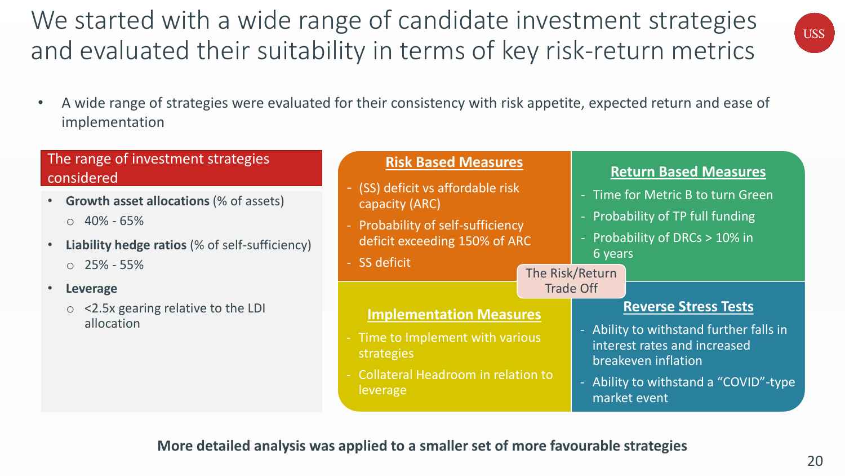**More detailed analysis was applied to a smaller set of more favourable strategies**

## 20

# • A wide range of strategies were evaluated for their consistency with risk appetite, expected return and ease of

- (SS) deficit

- Probability

- SS deficit

leverage

**Risk Based Measures**

implementation

### The range of investment strategies considered

- **Growth asset allocations** (% of assets)  $O$  40% - 65%
- **Liability hedge ratios** (% of self-sufficiency)  $O$  25% - 55%

• **Leverage**

o <2.5x gearing relative to the LDI allocation

| We started with a wide range of candidate investment strategies     |
|---------------------------------------------------------------------|
| and evaluated their suitability in terms of key risk-return metrics |



### **Return Based Measures**

| (SS) deficit vs affordable risk<br>capacity (ARC)<br><b>Probability of self-sufficiency</b><br>deficit exceeding 150% of ARC<br><b>SS deficit</b> |  | - Time for Metric B to turn Green<br>- Probability of TP full funding<br>- Probability of DRCs > 10% in<br>6 years<br>The Risk/Return |                                                                                                      |  |
|---------------------------------------------------------------------------------------------------------------------------------------------------|--|---------------------------------------------------------------------------------------------------------------------------------------|------------------------------------------------------------------------------------------------------|--|
| <b>Implementation Measures</b><br>Time to Implement with various<br>strategies                                                                    |  | <b>Trade Off</b>                                                                                                                      | <b>Reverse Stress Tests</b><br>Ability to withstand further falls in<br>interest rates and increased |  |
| <b>Collateral Headroom in relation to</b>                                                                                                         |  | breakeven inflation<br>ALTER FROM THE LEFT SERVICE $\theta$                                                                           |                                                                                                      |  |

- Ability to withstand a "COVID"-type market event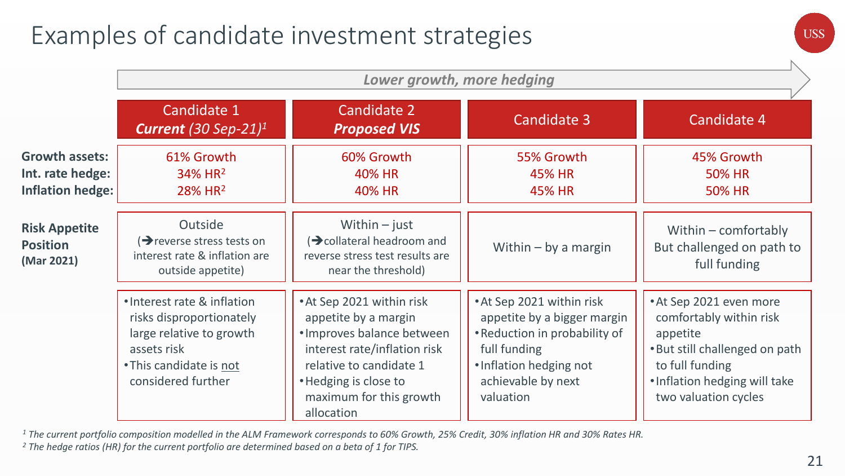### Examples of candidate investment strategies

|                                                                      | Lower growth, more hedging                                                                                                                          |                                                                                                                                                                                                              |                                                                                                                                                                         |                                                                                                                                                                              |  |  |  |
|----------------------------------------------------------------------|-----------------------------------------------------------------------------------------------------------------------------------------------------|--------------------------------------------------------------------------------------------------------------------------------------------------------------------------------------------------------------|-------------------------------------------------------------------------------------------------------------------------------------------------------------------------|------------------------------------------------------------------------------------------------------------------------------------------------------------------------------|--|--|--|
|                                                                      | Candidate 1<br>Current (30 Sep-21) <sup>1</sup>                                                                                                     | Candidate 2<br><b>Proposed VIS</b>                                                                                                                                                                           | <b>Candidate 3</b>                                                                                                                                                      | Candidate 4                                                                                                                                                                  |  |  |  |
| <b>Growth assets:</b><br>Int. rate hedge:<br><b>Inflation hedge:</b> | 61% Growth<br>34% HR <sup>2</sup><br>$28%$ HR <sup>2</sup>                                                                                          | 60% Growth<br>40% HR<br><b>40% HR</b>                                                                                                                                                                        | 55% Growth<br><b>45% HR</b><br><b>45% HR</b>                                                                                                                            | 45% Growth<br><b>50% HR</b><br><b>50% HR</b>                                                                                                                                 |  |  |  |
| <b>Risk Appetite</b><br><b>Position</b><br>(Mar 2021)                | Outside<br>$\rightarrow$ reverse stress tests on<br>interest rate & inflation are<br>outside appetite)                                              | Within $-$ just<br>(→ collateral headroom and<br>reverse stress test results are<br>near the threshold)                                                                                                      | Within $-$ by a margin                                                                                                                                                  | Within $-$ comfortably<br>But challenged on path to<br>full funding                                                                                                          |  |  |  |
|                                                                      | . Interest rate & inflation<br>risks disproportionately<br>large relative to growth<br>assets risk<br>• This candidate is not<br>considered further | • At Sep 2021 within risk<br>appetite by a margin<br>· Improves balance between<br>interest rate/inflation risk<br>relative to candidate 1<br>• Hedging is close to<br>maximum for this growth<br>allocation | • At Sep 2021 within risk<br>appetite by a bigger margin<br>• Reduction in probability of<br>full funding<br>· Inflation hedging not<br>achievable by next<br>valuation | • At Sep 2021 even more<br>comfortably within risk<br>appetite<br>. But still challenged on path<br>to full funding<br>. Inflation hedging will take<br>two valuation cycles |  |  |  |

*<sup>1</sup> The current portfolio composition modelled in the ALM Framework corresponds to 60% Growth, 25% Credit, 30% inflation HR and 30% Rates HR.*

*<sup>2</sup> The hedge ratios (HR) for the current portfolio are determined based on a beta of 1 for TIPS.*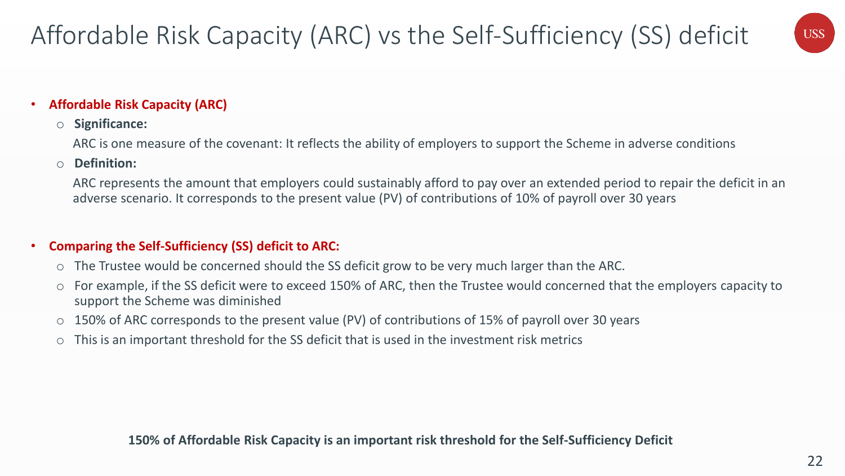

#### • **Affordable Risk Capacity (ARC)**

#### o **Significance:**

ARC is one measure of the covenant: It reflects the ability of employers to support the Scheme in adverse conditions

#### o **Definition:**

ARC represents the amount that employers could sustainably afford to pay over an extended period to repair the deficit in an adverse scenario. It corresponds to the present value (PV) of contributions of 10% of payroll over 30 years

#### • **Comparing the Self-Sufficiency (SS) deficit to ARC:**

- o The Trustee would be concerned should the SS deficit grow to be very much larger than the ARC.
- o For example, if the SS deficit were to exceed 150% of ARC, then the Trustee would concerned that the employers capacity to support the Scheme was diminished
- o 150% of ARC corresponds to the present value (PV) of contributions of 15% of payroll over 30 years
- o This is an important threshold for the SS deficit that is used in the investment risk metrics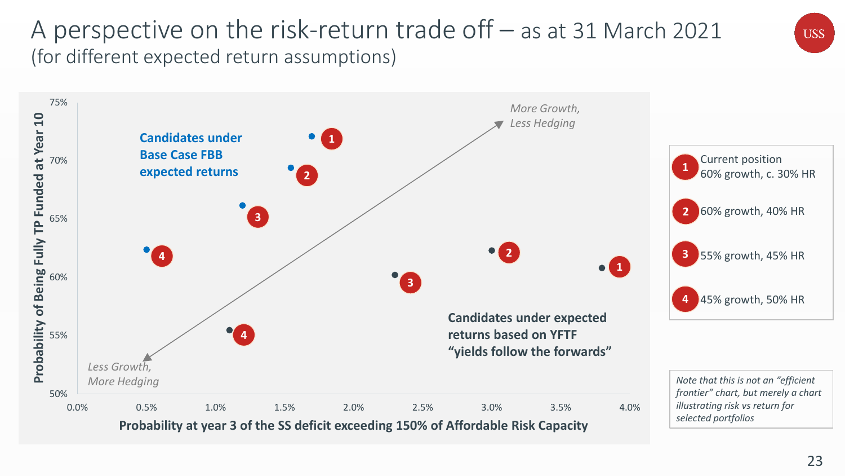### A perspective on the risk-return trade off – as at 31 March 2021 (for different expected return assumptions)

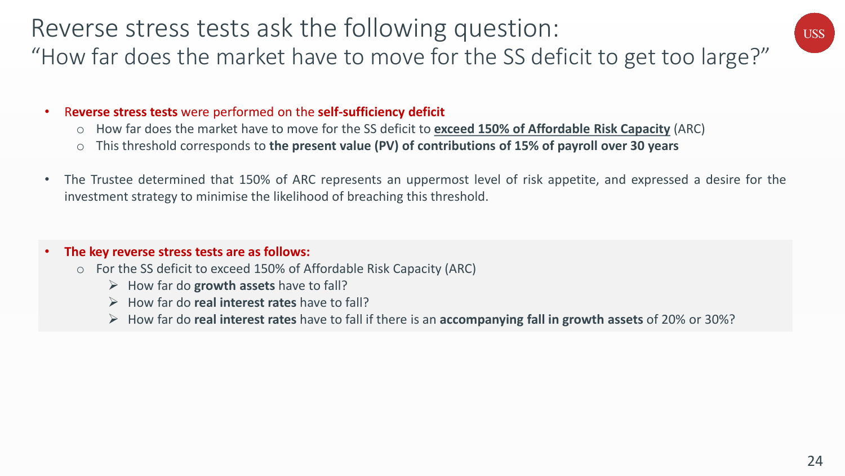### Reverse stress tests ask the following question: "How far does the market have to move for the SS deficit to get too large?"

#### • R**everse stress tests** were performed on the **self-sufficiency deficit**

- o How far does the market have to move for the SS deficit to **exceed 150% of Affordable Risk Capacity** (ARC)
- o This threshold corresponds to **the present value (PV) of contributions of 15% of payroll over 30 years**
- The Trustee determined that 150% of ARC represents an uppermost level of risk appetite, and expressed a desire for the investment strategy to minimise the likelihood of breaching this threshold.

#### • **The key reverse stress tests are as follows:**

- o For the SS deficit to exceed 150% of Affordable Risk Capacity (ARC)
	- ➢ How far do **growth assets** have to fall?
	- ➢ How far do **real interest rates** have to fall?
	- ➢ How far do **real interest rates** have to fall if there is an **accompanying fall in growth assets** of 20% or 30%?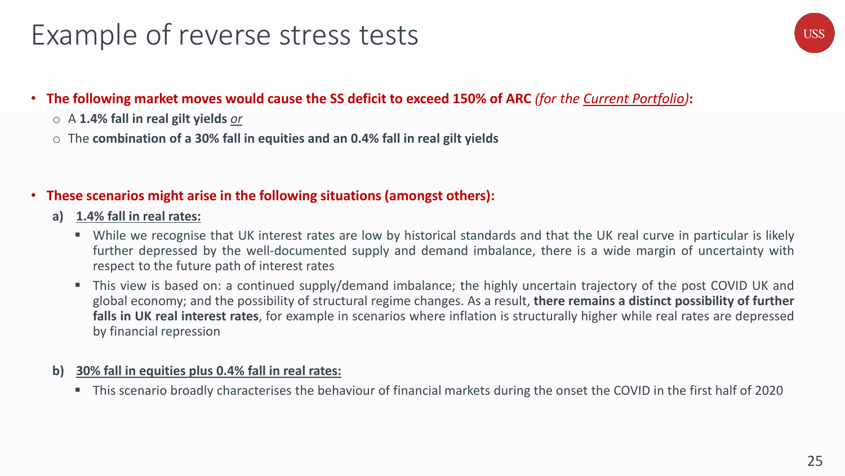### Example of reverse stress tests

### • **The following market moves would cause the SS deficit to exceed 150% of ARC** *(for the Current Portfolio)***:**

- o A **1.4% fall in real gilt yields** *or*
- o The **combination of a 30% fall in equities and an 0.4% fall in real gilt yields**

#### • **These scenarios might arise in the following situations (amongst others):**

- **a) 1.4% fall in real rates:**
	- While we recognise that UK interest rates are low by historical standards and that the UK real curve in particular is likely further depressed by the well-documented supply and demand imbalance, there is a wide margin of uncertainty with respect to the future path of interest rates
	- This view is based on: a continued supply/demand imbalance; the highly uncertain trajectory of the post COVID UK and global economy; and the possibility of structural regime changes. As a result, **there remains a distinct possibility of further falls in UK real interest rates**, for example in scenarios where inflation is structurally higher while real rates are depressed by financial repression

#### **b) 30% fall in equities plus 0.4% fall in real rates:**

■ This scenario broadly characterises the behaviour of financial markets during the onset the COVID in the first half of 2020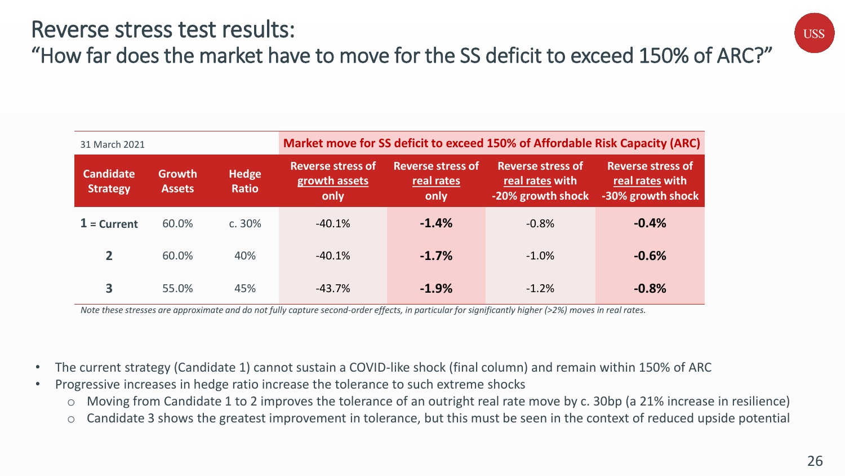### Reverse stress test results: "How far does the market have to move for the SS deficit to exceed 150% of ARC?"

| 31 March 2021                       |                                |                              | Market move for SS deficit to exceed 150% of Affordable Risk Capacity (ARC) |                                                |                                                                  |                                                                  |  |
|-------------------------------------|--------------------------------|------------------------------|-----------------------------------------------------------------------------|------------------------------------------------|------------------------------------------------------------------|------------------------------------------------------------------|--|
| <b>Candidate</b><br><b>Strategy</b> | <b>Growth</b><br><b>Assets</b> | <b>Hedge</b><br><b>Ratio</b> | <b>Reverse stress of</b><br>growth assets<br>only                           | <b>Reverse stress of</b><br>real rates<br>only | <b>Reverse stress of</b><br>real rates with<br>-20% growth shock | <b>Reverse stress of</b><br>real rates with<br>-30% growth shock |  |
| $1 =$ Current                       | 60.0%                          | c.30%                        | $-40.1%$                                                                    | $-1.4%$                                        | $-0.8%$                                                          | $-0.4%$                                                          |  |
| 2                                   | 60.0%                          | 40%                          | $-40.1%$                                                                    | $-1.7%$                                        | $-1.0%$                                                          | $-0.6%$                                                          |  |
| 3                                   | 55.0%                          | 45%                          | $-43.7%$                                                                    | $-1.9%$                                        | $-1.2%$                                                          | $-0.8%$                                                          |  |

*Note these stresses are approximate and do not fully capture second-order effects, in particular for significantly higher (>2%) moves in real rates.*

- The current strategy (Candidate 1) cannot sustain a COVID-like shock (final column) and remain within 150% of ARC
- Progressive increases in hedge ratio increase the tolerance to such extreme shocks
	- o Moving from Candidate 1 to 2 improves the tolerance of an outright real rate move by c. 30bp (a 21% increase in resilience)
	- o Candidate 3 shows the greatest improvement in tolerance, but this must be seen in the context of reduced upside potential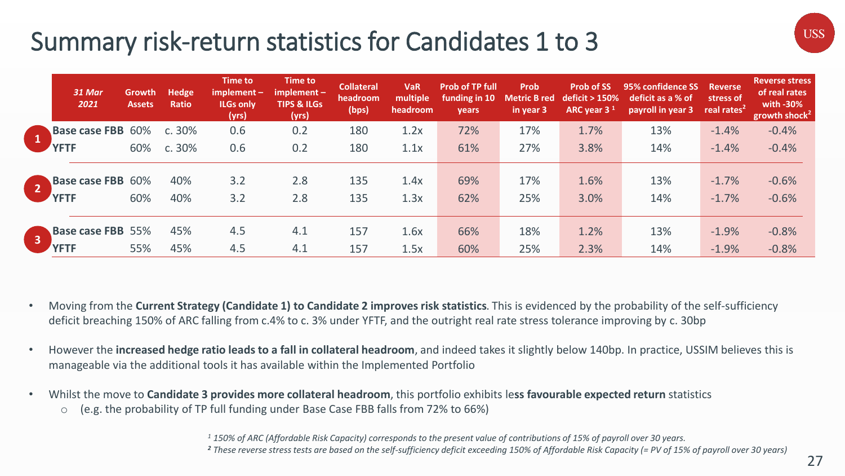### Summary risk-return statistics for Candidates 1 to 3

| 31 Mar<br>2021                          | Growth<br><b>Assets</b> | Hedge<br>Ratio | Time to<br>$implement -$<br><b>ILGs only</b><br>(yrs) | Time to<br>$implement -$<br><b>TIPS &amp; ILGs</b><br>(yrs) | <b>Collateral</b><br>headroom<br>(bps) | <b>VaR</b><br>multiple<br>headroom | <b>Prob of TP full</b><br>funding in 10<br><b>vears</b> | <b>Prob</b><br><b>Metric B red</b><br>in year 3 | <b>Prob of SS</b><br>deficit $> 150\%$<br>ARC year $31$ | 95% confidence SS<br>deficit as a % of<br>payroll in year 3 | <b>Reverse</b><br>stress of<br>real rates <sup>2</sup> | <b>Reverse stress</b><br>of real rates<br>with -30%<br>growth shock <sup>21</sup> |
|-----------------------------------------|-------------------------|----------------|-------------------------------------------------------|-------------------------------------------------------------|----------------------------------------|------------------------------------|---------------------------------------------------------|-------------------------------------------------|---------------------------------------------------------|-------------------------------------------------------------|--------------------------------------------------------|-----------------------------------------------------------------------------------|
| <b>Base case FBB 60%</b>                |                         | c.30%          | 0.6                                                   | 0.2                                                         | 180                                    | 1.2x                               | 72%                                                     | 17%                                             | 1.7%                                                    | 13%                                                         | $-1.4%$                                                | $-0.4%$                                                                           |
| <b>YFTF</b>                             | 60%                     | c.30%          | 0.6                                                   | 0.2                                                         | 180                                    | 1.1x                               | 61%                                                     | 27%                                             | 3.8%                                                    | 14%                                                         | $-1.4%$                                                | $-0.4%$                                                                           |
| <b>Base case FBB 60%</b><br><b>YFTF</b> | 60%                     | 40%<br>40%     | 3.2<br>3.2                                            | 2.8<br>2.8                                                  | 135<br>135                             | 1.4x<br>1.3x                       | 69%<br>62%                                              | 17%<br>25%                                      | 1.6%<br>3.0%                                            | 13%<br>14%                                                  | $-1.7%$<br>$-1.7%$                                     | $-0.6%$<br>$-0.6%$                                                                |
| <b>Base case FBB 55%</b>                |                         | 45%            | 4.5                                                   | 4.1                                                         | 157                                    | 1.6x                               | 66%                                                     | 18%                                             | 1.2%                                                    | 13%                                                         | $-1.9%$                                                | $-0.8%$                                                                           |
| <b>YFTF</b>                             | 55%                     | 45%            | 4.5                                                   | 4.1                                                         | 157                                    | 1.5x                               | 60%                                                     | 25%                                             | 2.3%                                                    | 14%                                                         | $-1.9%$                                                | $-0.8%$                                                                           |

- Moving from the **Current Strategy (Candidate 1) to Candidate 2 improves risk statistics**. This is evidenced by the probability of the self-sufficiency deficit breaching 150% of ARC falling from c.4% to c. 3% under YFTF, and the outright real rate stress tolerance improving by c. 30bp
- However the **increased hedge ratio leads to a fall in collateral headroom**, and indeed takes it slightly below 140bp. In practice, USSIM believes this is manageable via the additional tools it has available within the Implemented Portfolio
- Whilst the move to **Candidate 3 provides more collateral headroom**, this portfolio exhibits le**ss favourable expected return** statistics
	- o (e.g. the probability of TP full funding under Base Case FBB falls from 72% to 66%)

*<sup>1</sup> 150% of ARC (Affordable Risk Capacity) corresponds to the present value of contributions of 15% of payroll over 30 years. <sup>2</sup> These reverse stress tests are based on the self-sufficiency deficit exceeding 150% of Affordable Risk Capacity (= PV of 15% of payroll over 30 years)*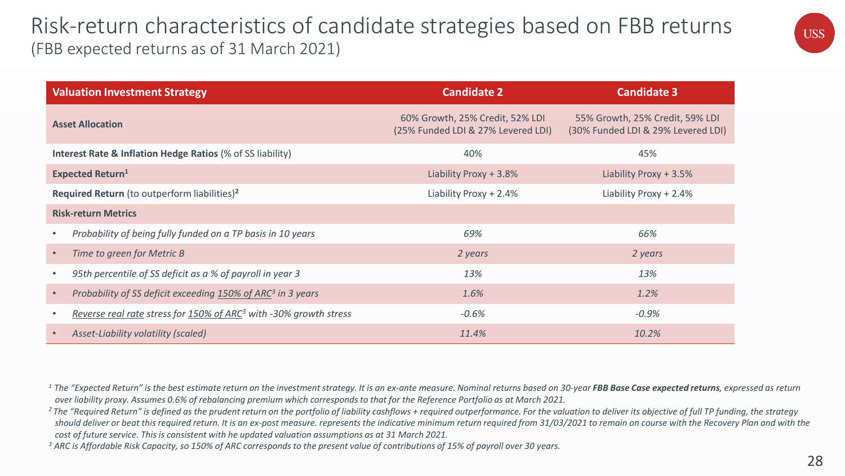### Risk-return characteristics of candidate strategies based on FBB returns (FBB expected returns as of 31 March 2021)

| USS |  |
|-----|--|
|     |  |
|     |  |

| <b>Valuation Investment Strategy</b>                                          | <b>Candidate 2</b>                                                    | <b>Candidate 3</b>                                                    |
|-------------------------------------------------------------------------------|-----------------------------------------------------------------------|-----------------------------------------------------------------------|
| <b>Asset Allocation</b>                                                       | 60% Growth, 25% Credit, 52% LDI<br>(25% Funded LDI & 27% Levered LDI) | 55% Growth, 25% Credit, 59% LDI<br>(30% Funded LDI & 29% Levered LDI) |
| <b>Interest Rate &amp; Inflation Hedge Ratios (% of SS liability)</b>         | 40%                                                                   | 45%                                                                   |
| <b>Expected Return<sup>1</sup></b>                                            | Liability Proxy + 3.8%                                                | Liability Proxy + 3.5%                                                |
| Required Return (to outperform liabilities) <sup>2</sup>                      | Liability Proxy + 2.4%                                                | Liability Proxy + 2.4%                                                |
| <b>Risk-return Metrics</b>                                                    |                                                                       |                                                                       |
| Probability of being fully funded on a TP basis in 10 years                   | 69%                                                                   | 66%                                                                   |
| Time to green for Metric B                                                    | 2 years                                                               | 2 years                                                               |
| 95th percentile of SS deficit as a % of payroll in year 3                     | 13%                                                                   | 13%                                                                   |
| Probability of SS deficit exceeding 150% of ARC <sup>3</sup> in 3 years       | 1.6%                                                                  | 1.2%                                                                  |
| Reverse real rate stress for 150% of ARC <sup>3</sup> with -30% growth stress | $-0.6%$                                                               | $-0.9%$                                                               |
| Asset-Liability volatility (scaled)                                           | 11.4%                                                                 | 10.2%                                                                 |

<sup>1</sup> The "Expected Return" is the best estimate return on the investment strategy. It is an ex-ante measure. Nominal returns based on 30-year FBB Base Case expected returns, expressed as return *over liability proxy. Assumes 0.6% of rebalancing premium which corresponds to that for the Reference Portfolio as at March 2021.* 

<sup>2</sup>*The "Required Return" is defined as the prudent return on the portfolio of liability cashflows + required outperformance. For the valuation to deliver its objective of full TP funding, the strategy should deliver or beat this required return. It is an ex-post measure. represents the indicative minimum return required from 31/03/2021 to remain on course with the Recovery Plan and with the cost of future service. This is consistent with he updated valuation assumptions as at 31 March 2021.*

*<sup>3</sup> ARC is Affordable Risk Capacity, so 150% of ARC corresponds to the present value of contributions of 15% of payroll over 30 years.*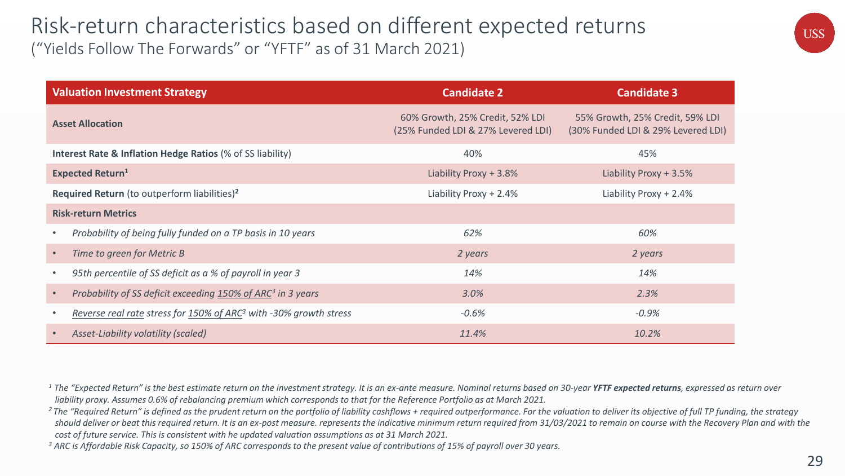### Risk-return characteristics based on different expected returns ("Yields Follow The Forwards" or "YFTF" as of 31 March 2021)

| <b>Valuation Investment Strategy</b>                                                       | <b>Candidate 2</b>                                                    | <b>Candidate 3</b>                                                    |
|--------------------------------------------------------------------------------------------|-----------------------------------------------------------------------|-----------------------------------------------------------------------|
| <b>Asset Allocation</b>                                                                    | 60% Growth, 25% Credit, 52% LDI<br>(25% Funded LDI & 27% Levered LDI) | 55% Growth, 25% Credit, 59% LDI<br>(30% Funded LDI & 29% Levered LDI) |
| <b>Interest Rate &amp; Inflation Hedge Ratios (% of SS liability)</b>                      | 40%                                                                   | 45%                                                                   |
| <b>Expected Return<sup>1</sup></b>                                                         | Liability Proxy + 3.8%                                                | Liability Proxy + 3.5%                                                |
| Required Return (to outperform liabilities) <sup>2</sup>                                   | Liability Proxy + 2.4%                                                | Liability Proxy + 2.4%                                                |
| <b>Risk-return Metrics</b>                                                                 |                                                                       |                                                                       |
| Probability of being fully funded on a TP basis in 10 years<br>$\bullet$                   | 62%                                                                   | 60%                                                                   |
| Time to green for Metric B<br>$\bullet$                                                    | 2 years                                                               | 2 years                                                               |
| 95th percentile of SS deficit as a % of payroll in year 3<br>$\bullet$                     | 14%                                                                   | 14%                                                                   |
| Probability of SS deficit exceeding 150% of ARC <sup>3</sup> in 3 years<br>$\bullet$       | 3.0%                                                                  | 2.3%                                                                  |
| Reverse real rate stress for 150% of ARC <sup>3</sup> with -30% growth stress<br>$\bullet$ | $-0.6%$                                                               | $-0.9%$                                                               |
| Asset-Liability volatility (scaled)<br>$\bullet$                                           | 11.4%                                                                 | 10.2%                                                                 |

<sup>1</sup> The "Expected Return" is the best estimate return on the investment strategy. It is an ex-ante measure. Nominal returns based on 30-year YFTF expected returns, expressed as return over *liability proxy. Assumes 0.6% of rebalancing premium which corresponds to that for the Reference Portfolio as at March 2021.* 

<sup>2</sup>*The "Required Return" is defined as the prudent return on the portfolio of liability cashflows + required outperformance. For the valuation to deliver its objective of full TP funding, the strategy should deliver or beat this required return. It is an ex-post measure. represents the indicative minimum return required from 31/03/2021 to remain on course with the Recovery Plan and with the cost of future service. This is consistent with he updated valuation assumptions as at 31 March 2021.*

*<sup>3</sup> ARC is Affordable Risk Capacity, so 150% of ARC corresponds to the present value of contributions of 15% of payroll over 30 years.* 

29